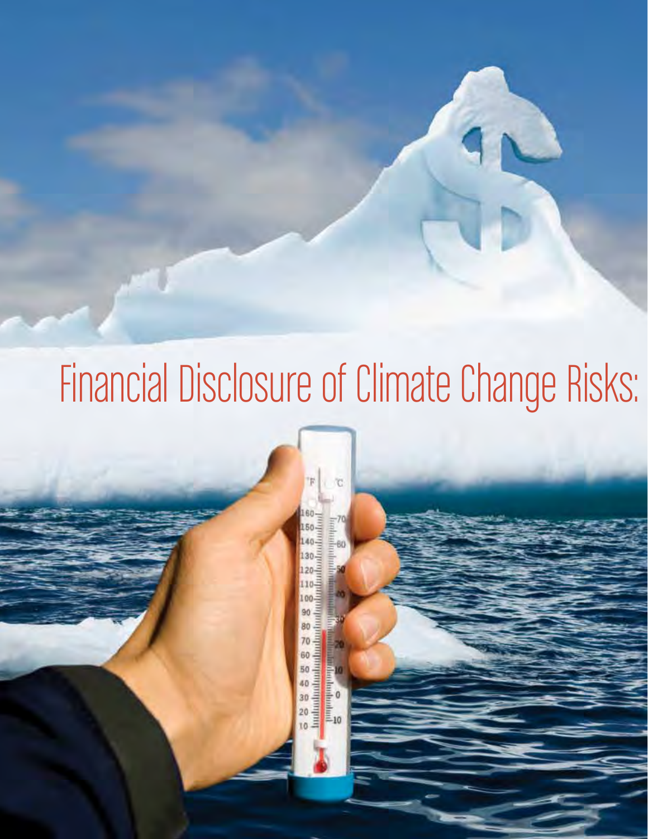# Financial Disclosure of Climate Change Risks:

C

ontmutantum **UNITED FOR** 80  $5885858$ **Sambanhara**<br>Bandanharini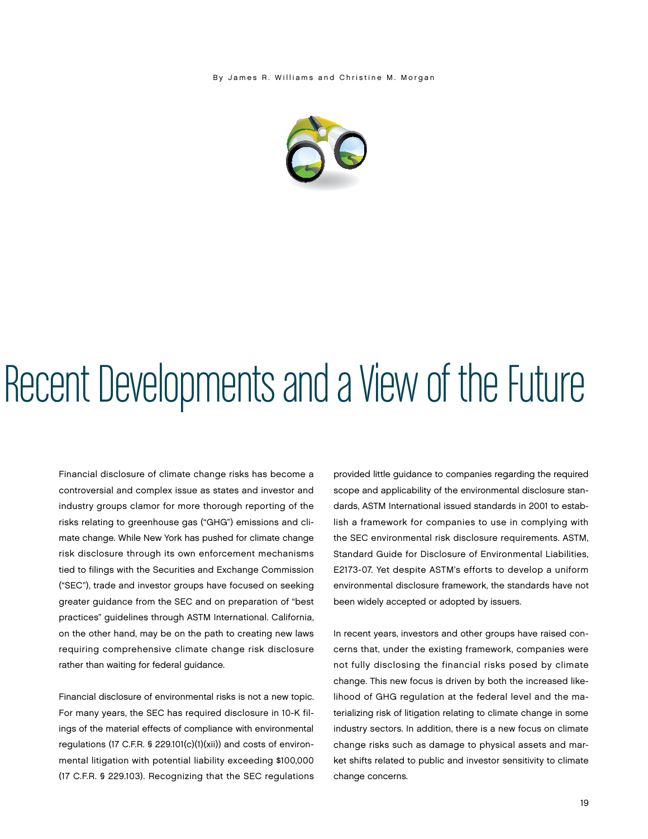By James R. Williams and Christine M. Morgan



## Recent Developments and a View of the Future

Financial disclosure of climate change risks has become a controversial and complex issue as states and investor and industry groups clamor for more thorough reporting of the risks relating to greenhouse gas ("GHG") emissions and climate change. While New York has pushed for climate change risk disclosure through its own enforcement mechanisms tied to filings with the Securities and Exchange Commission ("SEC"), trade and investor groups have focused on seeking greater guidance from the SEC and on preparation of "best practices" guidelines through ASTM International. California, on the other hand, may be on the path to creating new laws requiring comprehensive climate change risk disclosure rather than waiting for federal guidance.

Financial disclosure of environmental risks is not a new topic. For many years, the SEC has required disclosure in 10-K filings of the material effects of compliance with environmental regulations (17 C.F.R. § 229.101(c)(1)(xii)) and costs of environmental litigation with potential liability exceeding \$100,000 (17 C.F.R. § 229.103). Recognizing that the SEC regulations

provided little guidance to companies regarding the required scope and applicability of the environmental disclosure standards, ASTM International issued standards in 2001 to establish a framework for companies to use in complying with the SEC environmental risk disclosure requirements. ASTM, Standard Guide for Disclosure of Environmental Liabilities, E2173-07. Yet despite ASTM's efforts to develop a uniform environmental disclosure framework, the standards have not been widely accepted or adopted by issuers.

In recent years, investors and other groups have raised concerns that, under the existing framework, companies were not fully disclosing the financial risks posed by climate change. This new focus is driven by both the increased likelihood of GHG regulation at the federal level and the materializing risk of litigation relating to climate change in some industry sectors. In addition, there is a new focus on climate change risks such as damage to physical assets and market shifts related to public and investor sensitivity to climate change concerns.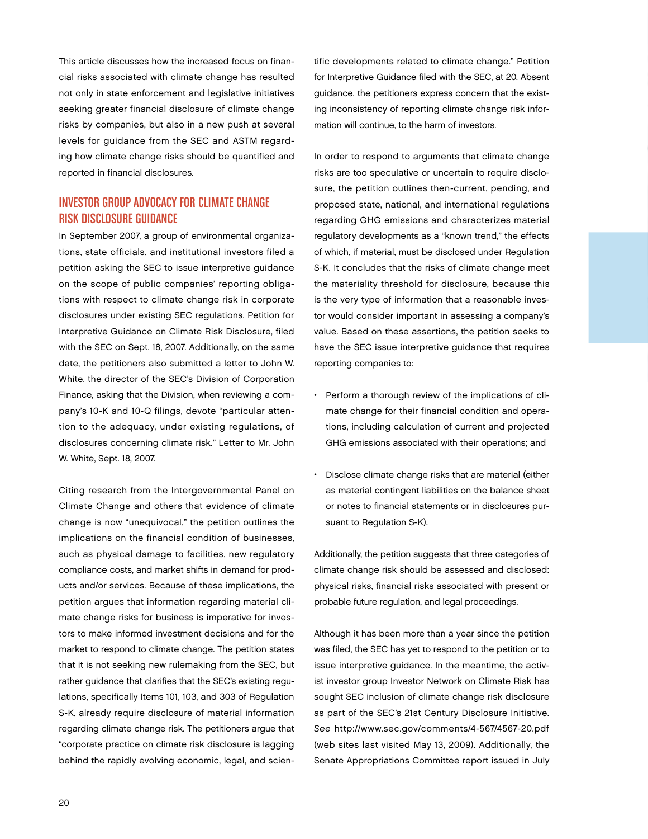This article discusses how the increased focus on financial risks associated with climate change has resulted not only in state enforcement and legislative initiatives seeking greater financial disclosure of climate change risks by companies, but also in a new push at several levels for guidance from the SEC and ASTM regarding how climate change risks should be quantified and reported in financial disclosures.

#### INVESTOR GROUP ADVOCACY FOR CLIMATE CHANGE RISK DISCLOSURE GUIDANCE

In September 2007, a group of environmental organizations, state officials, and institutional investors filed a petition asking the SEC to issue interpretive guidance on the scope of public companies' reporting obligations with respect to climate change risk in corporate disclosures under existing SEC regulations. Petition for Interpretive Guidance on Climate Risk Disclosure, filed with the SEC on Sept. 18, 2007. Additionally, on the same date, the petitioners also submitted a letter to John W. White, the director of the SEC's Division of Corporation Finance, asking that the Division, when reviewing a company's 10-K and 10-Q filings, devote "particular attention to the adequacy, under existing regulations, of disclosures concerning climate risk." Letter to Mr. John W. White, Sept. 18, 2007.

Citing research from the Intergovernmental Panel on Climate Change and others that evidence of climate change is now "unequivocal," the petition outlines the implications on the financial condition of businesses, such as physical damage to facilities, new regulatory compliance costs, and market shifts in demand for products and/or services. Because of these implications, the petition argues that information regarding material climate change risks for business is imperative for investors to make informed investment decisions and for the market to respond to climate change. The petition states that it is not seeking new rulemaking from the SEC, but rather guidance that clarifies that the SEC's existing regulations, specifically Items 101, 103, and 303 of Regulation S-K, already require disclosure of material information regarding climate change risk. The petitioners argue that "corporate practice on climate risk disclosure is lagging behind the rapidly evolving economic, legal, and scientific developments related to climate change." Petition for Interpretive Guidance filed with the SEC, at 20. Absent guidance, the petitioners express concern that the existing inconsistency of reporting climate change risk information will continue, to the harm of investors.

In order to respond to arguments that climate change risks are too speculative or uncertain to require disclosure, the petition outlines then-current, pending, and proposed state, national, and international regulations regarding GHG emissions and characterizes material regulatory developments as a "known trend," the effects of which, if material, must be disclosed under Regulation S-K. It concludes that the risks of climate change meet the materiality threshold for disclosure, because this is the very type of information that a reasonable investor would consider important in assessing a company's value. Based on these assertions, the petition seeks to have the SEC issue interpretive guidance that requires reporting companies to:

- Perform a thorough review of the implications of climate change for their financial condition and operations, including calculation of current and projected GHG emissions associated with their operations; and
- Disclose climate change risks that are material (either as material contingent liabilities on the balance sheet or notes to financial statements or in disclosures pursuant to Regulation S-K).

Additionally, the petition suggests that three categories of climate change risk should be assessed and disclosed: physical risks, financial risks associated with present or probable future regulation, and legal proceedings.

Although it has been more than a year since the petition was filed, the SEC has yet to respond to the petition or to issue interpretive guidance. In the meantime, the activist investor group Investor Network on Climate Risk has sought SEC inclusion of climate change risk disclosure as part of the SEC's 21st Century Disclosure Initiative. See http://www.sec.gov/comments/4-567/4567-20.pdf (web sites last visited May 13, 2009). Additionally, the Senate Appropriations Committee report issued in July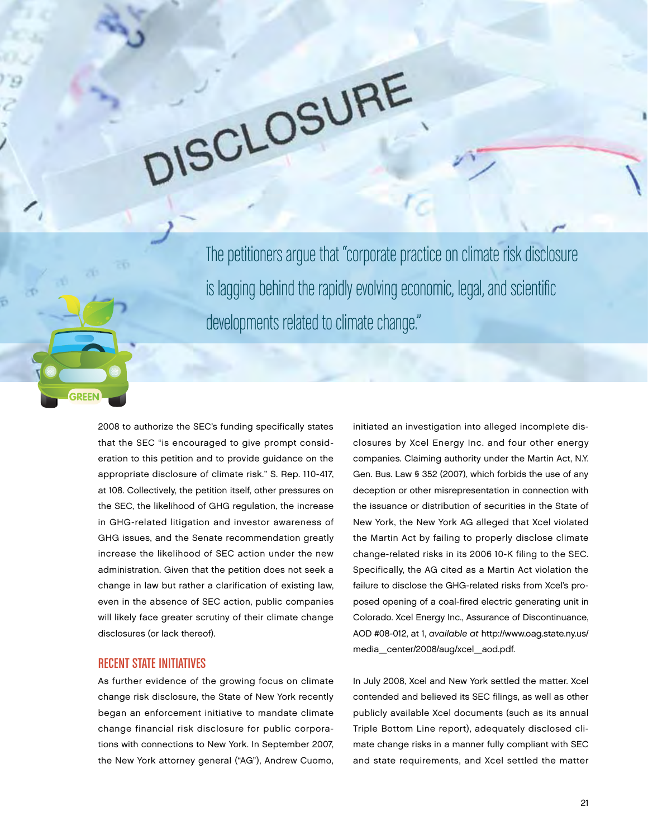The petitioners argue that "corporate practice on climate risk disclosure is lagging behind the rapidly evolving economic, legal, and scientific developments related to climate change."

DISCLOSURE

2008 to authorize the SEC's funding specifically states that the SEC "is encouraged to give prompt consideration to this petition and to provide guidance on the appropriate disclosure of climate risk." S. Rep. 110-417, at 108. Collectively, the petition itself, other pressures on the SEC, the likelihood of GHG regulation, the increase in GHG-related litigation and investor awareness of GHG issues, and the Senate recommendation greatly increase the likelihood of SEC action under the new administration. Given that the petition does not seek a change in law but rather a clarification of existing law, even in the absence of SEC action, public companies will likely face greater scrutiny of their climate change disclosures (or lack thereof).

#### **RECENT STATE INITIATIVES**

As further evidence of the growing focus on climate change risk disclosure, the State of New York recently began an enforcement initiative to mandate climate change financial risk disclosure for public corporations with connections to New York. In September 2007, the New York attorney general ("AG"), Andrew Cuomo,

initiated an investigation into alleged incomplete disclosures by Xcel Energy Inc. and four other energy companies. Claiming authority under the Martin Act, N.Y. Gen. Bus. Law § 352 (2007), which forbids the use of any deception or other misrepresentation in connection with the issuance or distribution of securities in the State of New York, the New York AG alleged that Xcel violated the Martin Act by failing to properly disclose climate change-related risks in its 2006 10-K filing to the SEC. Specifically, the AG cited as a Martin Act violation the failure to disclose the GHG-related risks from Xcel's proposed opening of a coal-fired electric generating unit in Colorado. Xcel Energy Inc., Assurance of Discontinuance, AOD #08-012, at 1, available at http://www.oag.state.ny.us/ media\_center/2008/aug/xcel\_aod.pdf.

In July 2008, Xcel and New York settled the matter. Xcel contended and believed its SEC filings, as well as other publicly available Xcel documents (such as its annual Triple Bottom Line report), adequately disclosed climate change risks in a manner fully compliant with SEC and state requirements, and Xcel settled the matter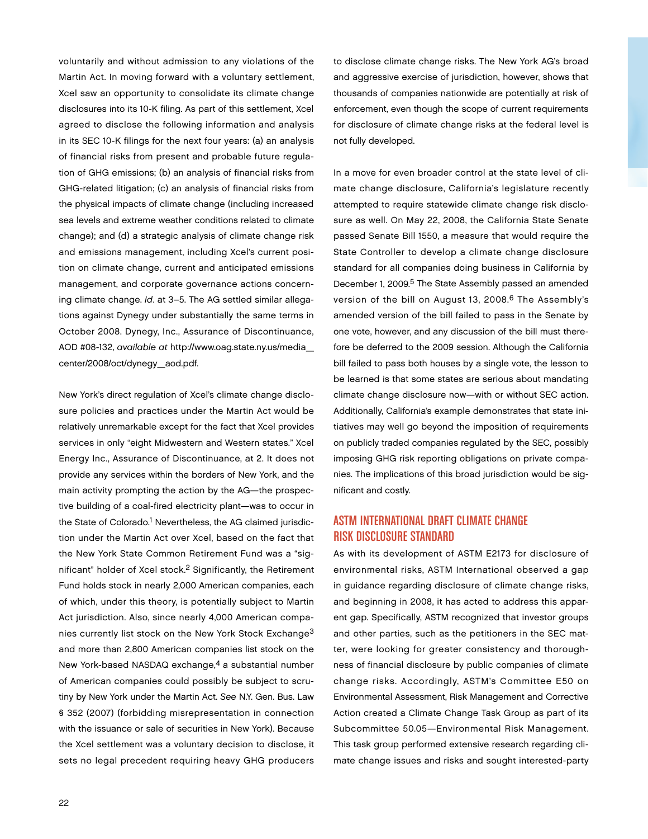voluntarily and without admission to any violations of the Martin Act. In moving forward with a voluntary settlement, Xcel saw an opportunity to consolidate its climate change disclosures into its 10-K filing. As part of this settlement, Xcel agreed to disclose the following information and analysis in its SEC 10-K filings for the next four years: (a) an analysis of financial risks from present and probable future regulation of GHG emissions; (b) an analysis of financial risks from GHG-related litigation; (c) an analysis of financial risks from the physical impacts of climate change (including increased sea levels and extreme weather conditions related to climate change); and (d) a strategic analysis of climate change risk and emissions management, including Xcel's current position on climate change, current and anticipated emissions management, and corporate governance actions concerning climate change. Id. at 3–5. The AG settled similar allegations against Dynegy under substantially the same terms in October 2008. Dynegy, Inc., Assurance of Discontinuance, AOD #08-132, available at http://www.oag.state.ny.us/media\_ center/2008/oct/dynegy\_aod.pdf.

New York's direct regulation of Xcel's climate change disclosure policies and practices under the Martin Act would be relatively unremarkable except for the fact that Xcel provides services in only "eight Midwestern and Western states." Xcel Energy Inc., Assurance of Discontinuance, at 2. It does not provide any services within the borders of New York, and the main activity prompting the action by the AG—the prospective building of a coal-fired electricity plant—was to occur in the State of Colorado.<sup>1</sup> Nevertheless, the AG claimed jurisdiction under the Martin Act over Xcel, based on the fact that the New York State Common Retirement Fund was a "significant" holder of Xcel stock.2 Significantly, the Retirement Fund holds stock in nearly 2,000 American companies, each of which, under this theory, is potentially subject to Martin Act jurisdiction. Also, since nearly 4,000 American companies currently list stock on the New York Stock Exchange3 and more than 2,800 American companies list stock on the New York-based NASDAQ exchange,<sup>4</sup> a substantial number of American companies could possibly be subject to scrutiny by New York under the Martin Act. See N.Y. Gen. Bus. Law § 352 (2007) (forbidding misrepresentation in connection with the issuance or sale of securities in New York). Because the Xcel settlement was a voluntary decision to disclose, it sets no legal precedent requiring heavy GHG producers

to disclose climate change risks. The New York AG's broad and aggressive exercise of jurisdiction, however, shows that thousands of companies nationwide are potentially at risk of enforcement, even though the scope of current requirements for disclosure of climate change risks at the federal level is not fully developed.

In a move for even broader control at the state level of climate change disclosure, California's legislature recently attempted to require statewide climate change risk disclosure as well. On May 22, 2008, the California State Senate passed Senate Bill 1550, a measure that would require the State Controller to develop a climate change disclosure standard for all companies doing business in California by December 1, 2009.<sup>5</sup> The State Assembly passed an amended version of the bill on August 13, 2008.<sup>6</sup> The Assembly's amended version of the bill failed to pass in the Senate by one vote, however, and any discussion of the bill must therefore be deferred to the 2009 session. Although the California bill failed to pass both houses by a single vote, the lesson to be learned is that some states are serious about mandating climate change disclosure now—with or without SEC action. Additionally, California's example demonstrates that state initiatives may well go beyond the imposition of requirements on publicly traded companies regulated by the SEC, possibly imposing GHG risk reporting obligations on private companies. The implications of this broad jurisdiction would be significant and costly.

### ASTM INTERNATIONAL DRAFT CLIMATE CHANGE RISK DISCLOSURE STANDARD

As with its development of ASTM E2173 for disclosure of environmental risks, ASTM International observed a gap in guidance regarding disclosure of climate change risks, and beginning in 2008, it has acted to address this apparent gap. Specifically, ASTM recognized that investor groups and other parties, such as the petitioners in the SEC matter, were looking for greater consistency and thoroughness of financial disclosure by public companies of climate change risks. Accordingly, ASTM's Committee E50 on Environmental Assessment, Risk Management and Corrective Action created a Climate Change Task Group as part of its Subcommittee 50.05—Environmental Risk Management. This task group performed extensive research regarding climate change issues and risks and sought interested-party